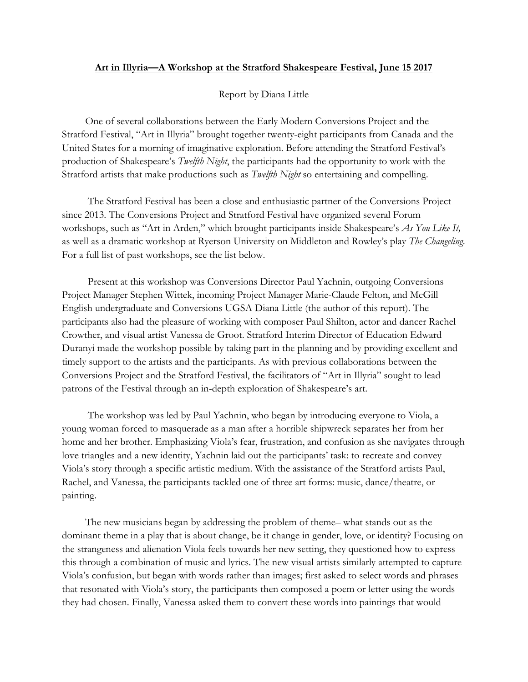## **Art in Illyria—A Workshop at the Stratford Shakespeare Festival, June 15 2017**

## Report by Diana Little

 One of several collaborations between the Early Modern Conversions Project and the Stratford Festival, "Art in Illyria" brought together twenty-eight participants from Canada and the United States for a morning of imaginative exploration. Before attending the Stratford Festival's production of Shakespeare's *Twelfth Night*, the participants had the opportunity to work with the Stratford artists that make productions such as *Twelfth Night* so entertaining and compelling.

 The Stratford Festival has been a close and enthusiastic partner of the Conversions Project since 2013. The Conversions Project and Stratford Festival have organized several Forum workshops, such as "Art in Arden," which brought participants inside Shakespeare's *As You Like It,* as well as a dramatic workshop at Ryerson University on Middleton and Rowley's play *The Changeling*. For a full list of past workshops, see the list below.

 Present at this workshop was Conversions Director Paul Yachnin, outgoing Conversions Project Manager Stephen Wittek, incoming Project Manager Marie-Claude Felton, and McGill English undergraduate and Conversions UGSA Diana Little (the author of this report). The participants also had the pleasure of working with composer Paul Shilton, actor and dancer Rachel Crowther, and visual artist Vanessa de Groot. Stratford Interim Director of Education Edward Duranyi made the workshop possible by taking part in the planning and by providing excellent and timely support to the artists and the participants. As with previous collaborations between the Conversions Project and the Stratford Festival, the facilitators of "Art in Illyria" sought to lead patrons of the Festival through an in-depth exploration of Shakespeare's art.

 The workshop was led by Paul Yachnin, who began by introducing everyone to Viola, a young woman forced to masquerade as a man after a horrible shipwreck separates her from her home and her brother. Emphasizing Viola's fear, frustration, and confusion as she navigates through love triangles and a new identity, Yachnin laid out the participants' task: to recreate and convey Viola's story through a specific artistic medium. With the assistance of the Stratford artists Paul, Rachel, and Vanessa, the participants tackled one of three art forms: music, dance/theatre, or painting.

 The new musicians began by addressing the problem of theme– what stands out as the dominant theme in a play that is about change, be it change in gender, love, or identity? Focusing on the strangeness and alienation Viola feels towards her new setting, they questioned how to express this through a combination of music and lyrics. The new visual artists similarly attempted to capture Viola's confusion, but began with words rather than images; first asked to select words and phrases that resonated with Viola's story, the participants then composed a poem or letter using the words they had chosen. Finally, Vanessa asked them to convert these words into paintings that would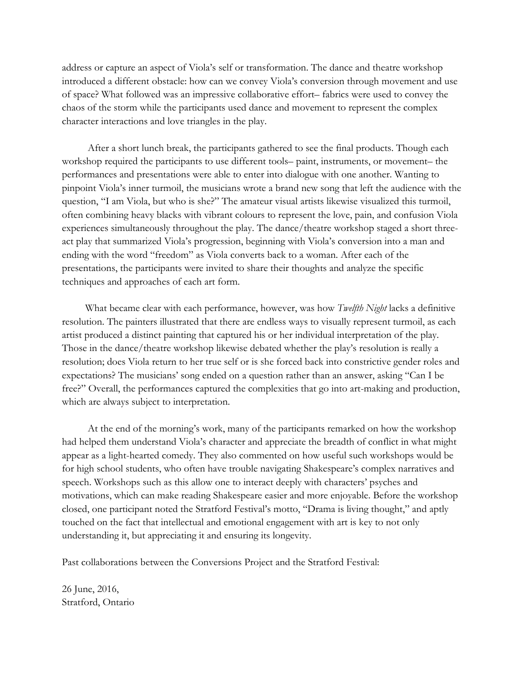address or capture an aspect of Viola's self or transformation. The dance and theatre workshop introduced a different obstacle: how can we convey Viola's conversion through movement and use of space? What followed was an impressive collaborative effort– fabrics were used to convey the chaos of the storm while the participants used dance and movement to represent the complex character interactions and love triangles in the play.

 After a short lunch break, the participants gathered to see the final products. Though each workshop required the participants to use different tools– paint, instruments, or movement– the performances and presentations were able to enter into dialogue with one another. Wanting to pinpoint Viola's inner turmoil, the musicians wrote a brand new song that left the audience with the question, "I am Viola, but who is she?" The amateur visual artists likewise visualized this turmoil, often combining heavy blacks with vibrant colours to represent the love, pain, and confusion Viola experiences simultaneously throughout the play. The dance/theatre workshop staged a short threeact play that summarized Viola's progression, beginning with Viola's conversion into a man and ending with the word "freedom" as Viola converts back to a woman. After each of the presentations, the participants were invited to share their thoughts and analyze the specific techniques and approaches of each art form.

 What became clear with each performance, however, was how *Twelfth Night* lacks a definitive resolution. The painters illustrated that there are endless ways to visually represent turmoil, as each artist produced a distinct painting that captured his or her individual interpretation of the play. Those in the dance/theatre workshop likewise debated whether the play's resolution is really a resolution; does Viola return to her true self or is she forced back into constrictive gender roles and expectations? The musicians' song ended on a question rather than an answer, asking "Can I be free?" Overall, the performances captured the complexities that go into art-making and production, which are always subject to interpretation.

 At the end of the morning's work, many of the participants remarked on how the workshop had helped them understand Viola's character and appreciate the breadth of conflict in what might appear as a light-hearted comedy. They also commented on how useful such workshops would be for high school students, who often have trouble navigating Shakespeare's complex narratives and speech. Workshops such as this allow one to interact deeply with characters' psyches and motivations, which can make reading Shakespeare easier and more enjoyable. Before the workshop closed, one participant noted the Stratford Festival's motto, "Drama is living thought," and aptly touched on the fact that intellectual and emotional engagement with art is key to not only understanding it, but appreciating it and ensuring its longevity.

Past collaborations between the Conversions Project and the Stratford Festival:

26 June, 2016, Stratford, Ontario